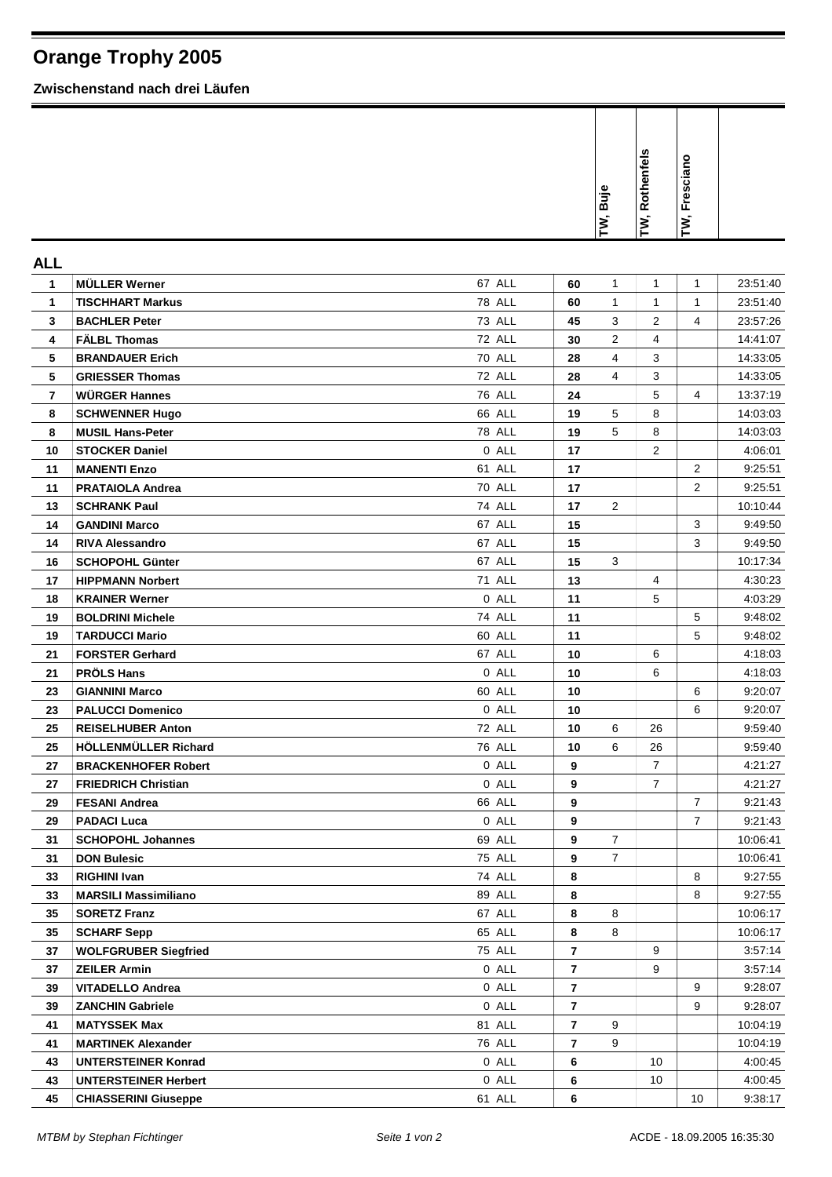## **Orange Trophy 2005**

**Zwischenstand nach drei Läufen**

|                         |                             |               |                | <b>Buje</b><br>ΓŇ, | Rothenfels<br>Σ, | Fresciano<br>TW, |          |
|-------------------------|-----------------------------|---------------|----------------|--------------------|------------------|------------------|----------|
| <b>ALL</b>              |                             |               |                |                    |                  |                  |          |
| 1                       | <b>MÜLLER Werner</b>        | 67 ALL        | 60             | 1                  | 1                | 1                | 23:51:40 |
| $\mathbf{1}$            | <b>TISCHHART Markus</b>     | <b>78 ALL</b> | 60             | 1                  | $\mathbf{1}$     | 1                | 23:51:40 |
| 3                       | <b>BACHLER Peter</b>        | <b>73 ALL</b> | 45             | 3                  | 2                | 4                | 23:57:26 |
| 4                       | <b>FALBL Thomas</b>         | 72 ALL        | 30             | 2                  | 4                |                  | 14:41:07 |
| 5                       | <b>BRANDAUER Erich</b>      | 70 ALL        | 28             | 4                  | 3                |                  | 14:33:05 |
| 5                       | <b>GRIESSER Thomas</b>      | 72 ALL        | 28             | 4                  | 3                |                  | 14:33:05 |
| $\overline{\mathbf{r}}$ | <b>WÜRGER Hannes</b>        | <b>76 ALL</b> | 24             |                    | 5                | 4                | 13:37:19 |
| 8                       | <b>SCHWENNER Hugo</b>       | 66 ALL        | 19             | 5                  | 8                |                  | 14:03:03 |
| 8                       | <b>MUSIL Hans-Peter</b>     | <b>78 ALL</b> | 19             | 5                  | 8                |                  | 14:03:03 |
| 10                      | <b>STOCKER Daniel</b>       | 0 ALL         | 17             |                    | 2                |                  | 4:06:01  |
| 11                      | <b>MANENTI Enzo</b>         | 61 ALL        | 17             |                    |                  | 2                | 9:25:51  |
| 11                      | <b>PRATAIOLA Andrea</b>     | <b>70 ALL</b> | 17             |                    |                  | 2                | 9:25:51  |
| 13                      | <b>SCHRANK Paul</b>         | 74 ALL        | 17             | $\overline{2}$     |                  |                  | 10:10:44 |
| 14                      | <b>GANDINI Marco</b>        | 67 ALL        | 15             |                    |                  | 3                | 9:49:50  |
| 14                      | <b>RIVA Alessandro</b>      | 67 ALL        | 15             |                    |                  | 3                | 9:49:50  |
| 16                      | <b>SCHOPOHL Günter</b>      | 67 ALL        | 15             | 3                  |                  |                  | 10:17:34 |
| 17                      | <b>HIPPMANN Norbert</b>     | <b>71 ALL</b> | 13             |                    | 4                |                  | 4:30:23  |
| 18                      | <b>KRAINER Werner</b>       | 0 ALL         | 11             |                    | 5                |                  | 4:03:29  |
| 19                      | <b>BOLDRINI Michele</b>     | <b>74 ALL</b> | 11             |                    |                  | 5                | 9:48:02  |
| 19                      | <b>TARDUCCI Mario</b>       | 60 ALL        | 11             |                    |                  | 5                | 9:48:02  |
| 21                      | <b>FORSTER Gerhard</b>      | 67 ALL        | 10             |                    | 6                |                  | 4:18:03  |
| 21                      | <b>PRÖLS Hans</b>           | 0 ALL         | 10             |                    | 6                |                  | 4:18:03  |
| 23                      | <b>GIANNINI Marco</b>       | 60 ALL        | 10             |                    |                  | 6                | 9:20:07  |
| 23                      | <b>PALUCCI Domenico</b>     | 0 ALL         | 10             |                    |                  | 6                | 9:20:07  |
| 25                      | <b>REISELHUBER Anton</b>    | 72 ALL        | 10             | 6                  | 26               |                  | 9:59:40  |
| 25                      | HÖLLENMÜLLER Richard        | 76 ALL        | 10             | 6                  | 26               |                  | 9:59:40  |
| 27                      | <b>BRACKENHOFER Robert</b>  | 0 ALL         | 9              |                    | $\overline{7}$   |                  | 4:21:27  |
| 27                      | <b>FRIEDRICH Christian</b>  | 0 ALL         | 9              |                    | $\overline{7}$   |                  | 4:21:27  |
| 29                      | <b>FESANI Andrea</b>        | 66 ALL        | 9              |                    |                  | 7                | 9:21:43  |
| 29                      | <b>PADACI Luca</b>          | 0 ALL         | 9              |                    |                  | 7                | 9:21:43  |
| 31                      | <b>SCHOPOHL Johannes</b>    | 69 ALL        | 9              | $\overline{7}$     |                  |                  | 10:06:41 |
| 31                      | <b>DON Bulesic</b>          | <b>75 ALL</b> | 9              | $\overline{7}$     |                  |                  | 10:06:41 |
| 33                      | <b>RIGHINI Ivan</b>         | 74 ALL        | 8              |                    |                  | 8                | 9:27:55  |
| 33                      | <b>MARSILI Massimiliano</b> | 89 ALL        | 8              |                    |                  | 8                | 9:27:55  |
| 35                      | <b>SORETZ Franz</b>         | 67 ALL        | 8              | 8                  |                  |                  | 10:06:17 |
| 35                      | <b>SCHARF Sepp</b>          | 65 ALL        | 8              | 8                  |                  |                  | 10:06:17 |
| 37                      | <b>WOLFGRUBER Siegfried</b> | 75 ALL        | $\overline{7}$ |                    | 9                |                  | 3:57:14  |
| 37                      | <b>ZEILER Armin</b>         | 0 ALL         | $\overline{7}$ |                    | 9                |                  | 3.57.14  |
| 39                      | <b>VITADELLO Andrea</b>     | 0 ALL         | $\overline{7}$ |                    |                  | 9                | 9:28:07  |
| 39                      | <b>ZANCHIN Gabriele</b>     | 0 ALL         | 7              |                    |                  | 9                | 9:28:07  |
| 41                      | <b>MATYSSEK Max</b>         | 81 ALL        | $\overline{7}$ | 9                  |                  |                  | 10:04:19 |
| 41                      | <b>MARTINEK Alexander</b>   | <b>76 ALL</b> | $\overline{7}$ | 9                  |                  |                  | 10:04:19 |
| 43                      | <b>UNTERSTEINER Konrad</b>  | 0 ALL         | 6              |                    | 10               |                  | 4:00:45  |
| 43                      | <b>UNTERSTEINER Herbert</b> | 0 ALL         | 6              |                    | 10               |                  | 4:00:45  |
| 45                      | <b>CHIASSERINI Giuseppe</b> | 61 ALL        | 6              |                    |                  | 10               | 9.38.17  |
|                         |                             |               |                |                    |                  |                  |          |